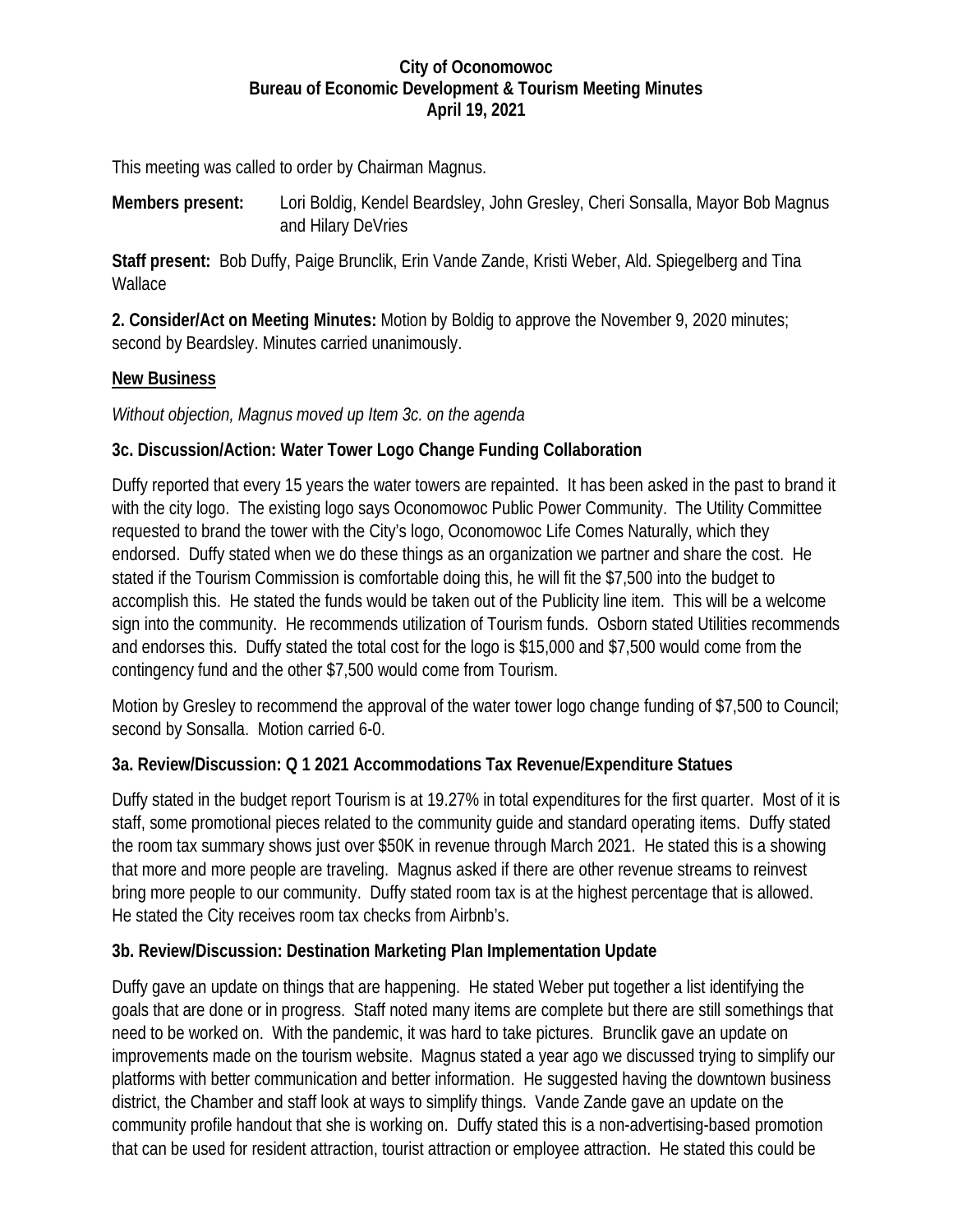#### **City of Oconomowoc Bureau of Economic Development & Tourism Meeting Minutes April 19, 2021**

This meeting was called to order by Chairman Magnus.

**Members present:** Lori Boldig, Kendel Beardsley, John Gresley, Cheri Sonsalla, Mayor Bob Magnus and Hilary DeVries

**Staff present:** Bob Duffy, Paige Brunclik, Erin Vande Zande, Kristi Weber, Ald. Spiegelberg and Tina Wallace

**2. Consider/Act on Meeting Minutes:** Motion by Boldig to approve the November 9, 2020 minutes; second by Beardsley. Minutes carried unanimously.

#### **New Business**

*Without objection, Magnus moved up Item 3c. on the agenda*

### **3c. Discussion/Action: Water Tower Logo Change Funding Collaboration**

Duffy reported that every 15 years the water towers are repainted. It has been asked in the past to brand it with the city logo. The existing logo says Oconomowoc Public Power Community. The Utility Committee requested to brand the tower with the City's logo, Oconomowoc Life Comes Naturally, which they endorsed. Duffy stated when we do these things as an organization we partner and share the cost. He stated if the Tourism Commission is comfortable doing this, he will fit the \$7,500 into the budget to accomplish this. He stated the funds would be taken out of the Publicity line item. This will be a welcome sign into the community. He recommends utilization of Tourism funds. Osborn stated Utilities recommends and endorses this. Duffy stated the total cost for the logo is \$15,000 and \$7,500 would come from the contingency fund and the other \$7,500 would come from Tourism.

Motion by Gresley to recommend the approval of the water tower logo change funding of \$7,500 to Council; second by Sonsalla. Motion carried 6-0.

### **3a. Review/Discussion: Q 1 2021 Accommodations Tax Revenue/Expenditure Statues**

Duffy stated in the budget report Tourism is at 19.27% in total expenditures for the first quarter. Most of it is staff, some promotional pieces related to the community guide and standard operating items. Duffy stated the room tax summary shows just over \$50K in revenue through March 2021. He stated this is a showing that more and more people are traveling. Magnus asked if there are other revenue streams to reinvest bring more people to our community. Duffy stated room tax is at the highest percentage that is allowed. He stated the City receives room tax checks from Airbnb's.

#### **3b. Review/Discussion: Destination Marketing Plan Implementation Update**

Duffy gave an update on things that are happening. He stated Weber put together a list identifying the goals that are done or in progress. Staff noted many items are complete but there are still somethings that need to be worked on. With the pandemic, it was hard to take pictures. Brunclik gave an update on improvements made on the tourism website. Magnus stated a year ago we discussed trying to simplify our platforms with better communication and better information. He suggested having the downtown business district, the Chamber and staff look at ways to simplify things. Vande Zande gave an update on the community profile handout that she is working on. Duffy stated this is a non-advertising-based promotion that can be used for resident attraction, tourist attraction or employee attraction. He stated this could be